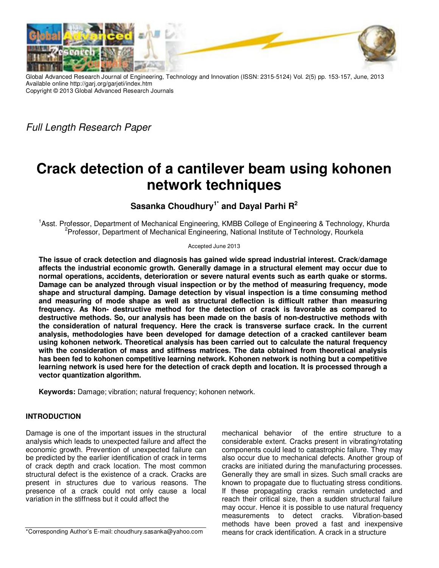

Global Advanced Research Journal of Engineering, Technology and Innovation (ISSN: 2315-5124) Vol. 2(5) pp. 153-157, June, 2013 Available online http://garj.org/garjeti/index.htm Copyright © 2013 Global Advanced Research Journals

Full Length Research Paper

# **Crack detection of a cantilever beam using kohonen network techniques**

**Sasanka Choudhury1\* and Dayal Parhi R<sup>2</sup>**

<sup>1</sup>Asst. Professor, Department of Mechanical Engineering, KMBB College of Engineering & Technology, Khurda <sup>2</sup>Professor, Department of Mechanical Engineering, National Institute of Technology, Rourkela

Accepted June 2013

**The issue of crack detection and diagnosis has gained wide spread industrial interest. Crack/damage affects the industrial economic growth. Generally damage in a structural element may occur due to normal operations, accidents, deterioration or severe natural events such as earth quake or storms. Damage can be analyzed through visual inspection or by the method of measuring frequency, mode shape and structural damping. Damage detection by visual inspection is a time consuming method and measuring of mode shape as well as structural deflection is difficult rather than measuring frequency. As Non- destructive method for the detection of crack is favorable as compared to destructive methods. So, our analysis has been made on the basis of non-destructive methods with the consideration of natural frequency. Here the crack is transverse surface crack. In the current analysis, methodologies have been developed for damage detection of a cracked cantilever beam using kohonen network. Theoretical analysis has been carried out to calculate the natural frequency with the consideration of mass and stiffness matrices. The data obtained from theoretical analysis has been fed to kohonen competitive learning network. Kohonen network is nothing but a competitive learning network is used here for the detection of crack depth and location. It is processed through a vector quantization algorithm.** 

**Keywords:** Damage; vibration; natural frequency; kohonen network.

## **INTRODUCTION**

Damage is one of the important issues in the structural analysis which leads to unexpected failure and affect the economic growth. Prevention of unexpected failure can be predicted by the earlier identification of crack in terms of crack depth and crack location. The most common structural defect is the existence of a crack. Cracks are present in structures due to various reasons. The presence of a crack could not only cause a local variation in the stiffness but it could affect the

components could lead to catastrophic failure. They may also occur due to mechanical defects. Another group of cracks are initiated during the manufacturing processes. Generally they are small in sizes. Such small cracks are known to propagate due to fluctuating stress conditions. If these propagating cracks remain undetected and reach their critical size, then a sudden structural failure may occur. Hence it is possible to use natural frequency measurements to detect cracks. Vibration-based methods have been proved a fast and inexpensive means for crack identification. A crack in a structure

mechanical behavior of the entire structure to a considerable extent. Cracks present in vibrating/rotating

\*Corresponding Author's E-mail: choudhury.sasanka@yahoo.com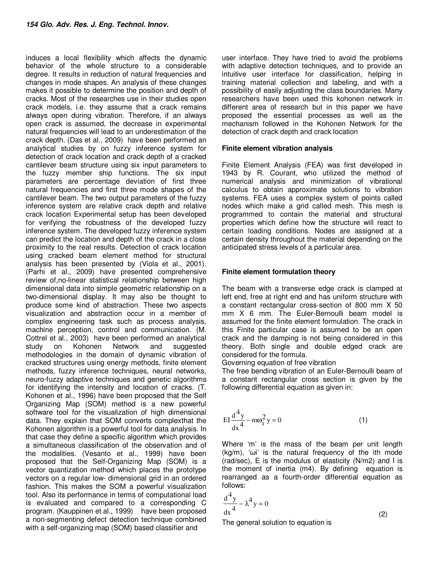induces a local flexibility which affects the dynamic behavior of the whole structure to a considerable degree. It results in reduction of natural frequencies and changes in mode shapes. An analysis of these changes makes it possible to determine the position and depth of cracks. Most of the researches use in their studies open crack models, i.e. they assume that a crack remains always open during vibration. Therefore, if an always open crack is assumed, the decrease in experimental natural frequencies will lead to an underestimation of the crack depth. (Das et al., 2009) have been performed an analytical studies by on fuzzy inference system for detection of crack location and crack depth of a cracked cantilever beam structure using six input parameters to the fuzzy member ship functions. The six input parameters are percentage deviation of first three natural frequencies and first three mode shapes of the cantilever beam. The two output parameters of the fuzzy inference system are relative crack depth and relative crack location Experimental setup has been developed for verifying the robustness of the developed fuzzy inference system. The developed fuzzy inference system can predict the location and depth of the crack in a close proximity to the real results. Detection of crack location using cracked beam element method for structural analysis has been presented by (Viola et al., 2001). (Parhi et al., 2009) have presented comprehensive review of,no-linear statistical relationship between high dimensional data into simple geometric relationship on a two-dimensional display. It may also be thought to produce some kind of abstraction. These two aspects visualization and abstraction occur in a member of complex engineering task such as process analysis, machine perception, control and communication. (M. Cottrel et al., 2003) have been performed an analytical study on Kohonen Network and suggested methodologies in the domain of dynamic vibration of cracked structures using energy methods, finite element methods, fuzzy inference techniques, neural networks, neuro-fuzzy adaptive techniques and genetic algorithms for identifying the intensity and location of cracks. (T. Kohonen et al., 1996) have been proposed that the Self Organizing Map (SOM) method is a new powerful software tool for the visualization of high dimensional data. They explain that SOM converts complexthat the Kohonen algorithm is a powerful tool for data analysis. In that case they define a specific algorithm which provides a simultaneous classification of the observation and of the modalities. (Vesanto et al., 1999) have been proposed that the Self-Organizing Map (SOM) is a vector quantization method which places the prototype vectors on a regular low- dimensional grid in an ordered fashion. This makes the SOM a powerful visualization tool. Also its performance in terms of computational load is evaluated and compared to a corresponding C program. (Kauppinen et al., 1999) have been proposed a non-segmenting defect detection technique combined with a self-organizing map (SOM) based classifier and

user interface. They have tried to avoid the problems with adaptive detection techniques, and to provide an intuitive user interface for classification, helping in training material collection and labeling, and with a possibility of easily adjusting the class boundaries. Many researchers have been used this kohonen network in different area of research but in this paper we have proposed the essential processes as well as the mechanism followed in the Kohonen Network for the detection of crack depth and crack location

#### **Finite element vibration analysis**

Finite Element Analysis (FEA) was first developed in 1943 by R. Courant, who utilized the method of numerical analysis and minimization of vibrational calculus to obtain approximate solutions to vibration systems. FEA uses a complex system of points called nodes which make a grid called mesh. This mesh is programmed to contain the material and structural properties which define how the structure will react to certain loading conditions. Nodes are assigned at a certain density throughout the material depending on the anticipated stress levels of a particular area.

#### **Finite element formulation theory**

The beam with a transverse edge crack is clamped at left end, free at right end and has uniform structure with a constant rectangular cross-section of 800 mm X 50 mm X 6 mm. The Euler-Bernoulli beam model is assumed for the finite element formulation. The crack in this Finite particular case is assumed to be an open crack and the damping is not being considered in this theory. Both single and double edged crack are considered for the formula.

Governing equation of free vibration

The free bending vibration of an Euler-Bernoulli beam of a constant rectangular cross section is given by the following differential equation as given in:

$$
EI\frac{d^4y}{dx^4} - m\omega_i^2 y = 0
$$
 (1)

Where 'm' is the mass of the beam per unit length  $(kg/m)$ , ' $\omega$ i' is the natural frequency of the ith mode (rad/sec), E is the modulus of elasticity (N/m2) and I is the moment of inertia (m4). By defining equation is rearranged as a fourth-order differential equation as follows:

$$
\frac{d^4 y}{dx^4} - \lambda^4 y = 0
$$
 (2)

The general solution to equation is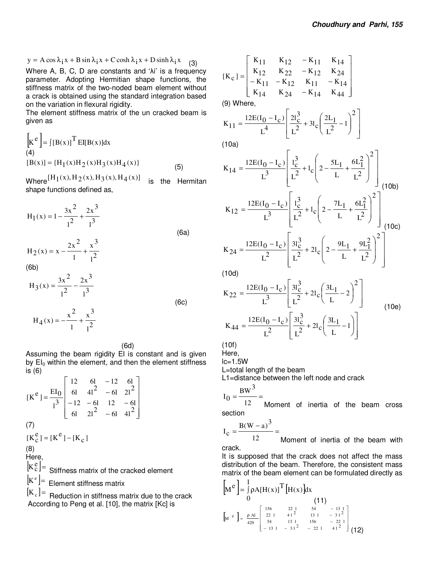$\overline{\phantom{a}}$  $\overline{\phantom{a}}$ 

 $\overline{\phantom{a}}$ 

J

$$
y = A \cos \lambda_1 x + B \sin \lambda_1 x + C \cosh \lambda_1 x + D \sinh \lambda_1 x
$$
 (3)

Where A, B, C, D are constants and 'λi' is a frequency parameter. Adopting Hermitian shape functions, the stiffness matrix of the two-noded beam element without a crack is obtained using the standard integration based on the variation in flexural rigidity.

The element stiffness matrix of the un cracked beam is given as

$$
\begin{bmatrix} \mathbf{k}^e \end{bmatrix} = \int [B(x)]^T E[[B(x)]dx
$$
  
(4)  
[B(x)] = {H<sub>1</sub>(x)H<sub>2</sub>(x)H<sub>3</sub>(x)H<sub>4</sub>(x)} (5)

Where  $[H_1(x), H_2(x), H_3(x), H_4(x)]$  is the Hermitan shape functions defined as,

$$
H_1(x) = 1 - \frac{3x^2}{1^2} + \frac{2x^3}{1^3}
$$
  
\n
$$
H_2(x) = x - \frac{2x^2}{1} + \frac{x^3}{2^3}
$$
 (6a)

 $1^2$ 

l

(6b)

$$
H_3(x) = \frac{3x^2}{1^2} - \frac{2x^3}{1^3}
$$
  
 
$$
H_4(x) = -\frac{x^2}{1} + \frac{x^3}{1^2}
$$
 (6c)

(6d)

Assuming the beam rigidity EI is constant and is given by  $EI_0$  within the element, and then the element stiffness is (6)

$$
[\text{K}^e] = \frac{\text{EI}_0}{I^3} \begin{bmatrix} 12 & 6I & -12 & 6I \\ 6I & 4I^2 & -6I & 2I^2 \\ -12 & -6I & 12 & -6I \\ 6I & 2I^2 & -6I & 4I^2 \end{bmatrix}
$$
  
(7)  

$$
[\text{K}_c^e] = [\text{K}^e] - [\text{K}_c]
$$
  
(8)  
Here,  

$$
[\text{K}_c^e] = \text{Stiffness matrix of the cracked element}
$$

 $[K^e]$ = Element stiffness matrix

 $[K_c]$  = Reduction in stiffness matrix due to the crack According to Peng et al. [10], the matrix [Kc] is

$$
[\mathbf{K}_{\mathbf{C}}] = \begin{bmatrix} \mathbf{K}_{11} & \mathbf{K}_{12} & -\mathbf{K}_{11} & \mathbf{K}_{14} \\ \mathbf{K}_{12} & \mathbf{K}_{22} & -\mathbf{K}_{12} & \mathbf{K}_{24} \\ -\mathbf{K}_{11} & -\mathbf{K}_{12} & \mathbf{K}_{11} & -\mathbf{K}_{14} \\ \mathbf{K}_{14} & \mathbf{K}_{24} & -\mathbf{K}_{14} & \mathbf{K}_{44} \end{bmatrix}
$$

(9) Where,

$$
K_{11} = \frac{12E(I_0 - I_c)}{L^4} \left[ \frac{2I_c^3}{L^2} + 3I_c \left( \frac{2L_1}{L^2} - 1 \right)^2 \right]
$$

(10a)

$$
K_{14} = \frac{12E(I_0 - I_c)}{L^3} \left[ \frac{I_c^3}{L^2} + I_c \left( 2 - \frac{5L_1}{L} + \frac{6L_1^2}{L^2} \right)^2 \right]
$$
  
\n
$$
K_{12} = \frac{12E(I_0 - I_c)}{L^3} \left[ \frac{I_c^3}{L^2} + I_c \left( 2 - \frac{7L_1}{L} + \frac{6L_1^2}{L^2} \right)^2 \right]
$$
  
\n
$$
K_{24} = \frac{12E(I_0 - I_c)}{L^2} \left[ \frac{3I_c^3}{L^2} + 2I_c \left( 2 - \frac{9L_1}{L} + \frac{9L_1^2}{L^2} \right)^2 \right]
$$
  
\n(10c)

$$
L^2
$$

(10d)

$$
K_{22} = \frac{12E(I_0 - I_c)}{L^3} \left[ \frac{3I_c^3}{L^2} + 2I_c \left( \frac{3L_1}{L} - 2 \right)^2 \right]
$$
  
\n
$$
K_{44} = \frac{12E(I_0 - I_c)}{L^2} \left[ \frac{3I_c^3}{L^2} + 2I_c \left( \frac{3L_1}{L} - 1 \right) \right]
$$
  
\n(10e)

 $\begin{bmatrix} L & & L & L \end{bmatrix}$ 

L

 $\mathsf{I}$ 

 $\setminus$ 

(10f) Here,

 $lc=1.5W$ 

L=total length of the beam

L1=distance between the left node and crack

 $\mathbf{r}$ 

L

$$
I_0 = \frac{BW^3}{12} =
$$

12 Moment of inertia of the beam cross section

$$
I_{c} = \frac{B(W - a)^{3}}{12} =
$$

12 Moment of inertia of the beam with crack.

It is supposed that the crack does not affect the mass distribution of the beam. Therefore, the consistent mass matrix of the beam element can be formulated directly as

$$
\begin{bmatrix} M^e \end{bmatrix} = \int_{0}^{1} \rho A[H(x)]^T [H(x)] dx
$$
\n
$$
\begin{bmatrix} 156 & 22 & 1 & 54 & -13 & 1 \\ 0 & & & & & \\ M^e & \end{bmatrix} = \frac{\rho A I}{420} \begin{bmatrix} 156 & 22 & 1 & 54 & -13 & 1 \\ 22 & 1 & 41 & 2 & 13 & 1 & -31 & 2 \\ 54 & 13 & 1 & 156 & -22 & 1 \\ -13 & 1 & -31 & 2 & -22 & 1 & 41 & 2 \end{bmatrix}
$$
\n
$$
(12)
$$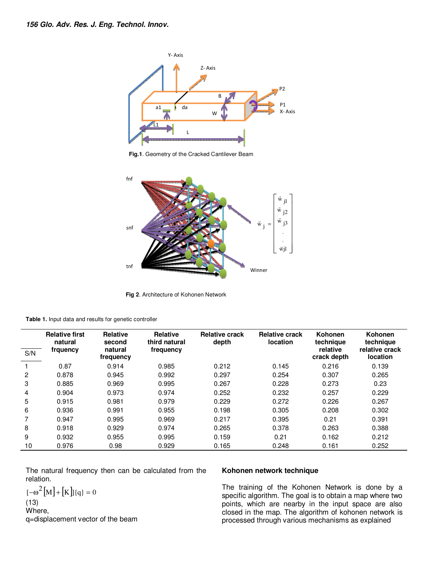

**Fig.1**. Geometry of the Cracked Cantilever Beam



**Fig 2**. Architecture of Kohonen Network

|  |  | Table 1. Input data and results for genetic controller |  |  |
|--|--|--------------------------------------------------------|--|--|
|--|--|--------------------------------------------------------|--|--|

| S/N | <b>Relative first</b><br>natural<br>frquency | Relative<br>second<br>natural<br>frequency | <b>Relative</b><br>third natural<br>frequency | <b>Relative crack</b><br>depth | <b>Relative crack</b><br>location | Kohonen<br>technique<br>relative<br>crack depth | Kohonen<br>technique<br>relative crack<br>location |
|-----|----------------------------------------------|--------------------------------------------|-----------------------------------------------|--------------------------------|-----------------------------------|-------------------------------------------------|----------------------------------------------------|
|     | 0.87                                         | 0.914                                      | 0.985                                         | 0.212                          | 0.145                             | 0.216                                           | 0.139                                              |
| 2   | 0.878                                        | 0.945                                      | 0.992                                         | 0.297                          | 0.254                             | 0.307                                           | 0.265                                              |
| 3   | 0.885                                        | 0.969                                      | 0.995                                         | 0.267                          | 0.228                             | 0.273                                           | 0.23                                               |
| 4   | 0.904                                        | 0.973                                      | 0.974                                         | 0.252                          | 0.232                             | 0.257                                           | 0.229                                              |
| 5   | 0.915                                        | 0.981                                      | 0.979                                         | 0.229                          | 0.272                             | 0.226                                           | 0.267                                              |
| 6   | 0.936                                        | 0.991                                      | 0.955                                         | 0.198                          | 0.305                             | 0.208                                           | 0.302                                              |
|     | 0.947                                        | 0.995                                      | 0.969                                         | 0.217                          | 0.395                             | 0.21                                            | 0.391                                              |
| 8   | 0.918                                        | 0.929                                      | 0.974                                         | 0.265                          | 0.378                             | 0.263                                           | 0.388                                              |
| 9   | 0.932                                        | 0.955                                      | 0.995                                         | 0.159                          | 0.21                              | 0.162                                           | 0.212                                              |
| 10  | 0.976                                        | 0.98                                       | 0.929                                         | 0.165                          | 0.248                             | 0.161                                           | 0.252                                              |

The natural frequency then can be calculated from the relation.

$$
[-\omega^2 [M] + [K] \{q\} = 0
$$
  
(13)

Where,

q=displacement vector of the beam

### **Kohonen network technique**

The training of the Kohonen Network is done by a specific algorithm. The goal is to obtain a map where two points, which are nearby in the input space are also closed in the map. The algorithm of kohonen network is processed through various mechanisms as explained